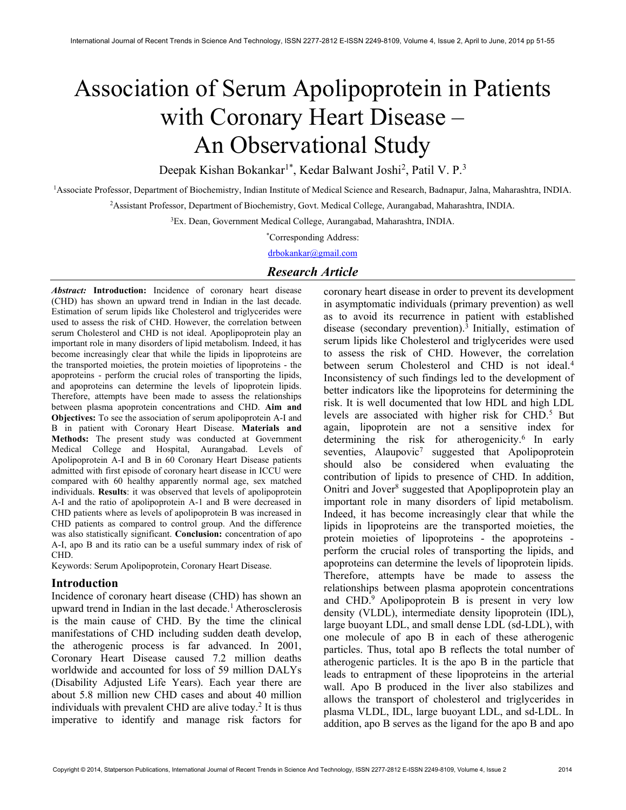# Association of Serum Apolipoprotein in Patients with Coronary Heart Disease – An Observational Study

Deepak Kishan Bokankar<sup>1\*</sup>, Kedar Balwant Joshi<sup>2</sup>, Patil V. P.<sup>3</sup>

<sup>1</sup>Associate Professor, Department of Biochemistry, Indian Institute of Medical Science and Research, Badnapur, Jalna, Maharashtra, INDIA.

<sup>2</sup>Assistant Professor, Department of Biochemistry, Govt. Medical College, Aurangabad, Maharashtra, INDIA.

<sup>3</sup>Ex. Dean, Government Medical College, Aurangabad, Maharashtra, INDIA.

\*Corresponding Address:

drbokankar@gmail.com

# Research Article

Abstract: Introduction: Incidence of coronary heart disease (CHD) has shown an upward trend in Indian in the last decade. Estimation of serum lipids like Cholesterol and triglycerides were used to assess the risk of CHD. However, the correlation between serum Cholesterol and CHD is not ideal. Apoplipoprotein play an important role in many disorders of lipid metabolism. Indeed, it has become increasingly clear that while the lipids in lipoproteins are the transported moieties, the protein moieties of lipoproteins - the apoproteins - perform the crucial roles of transporting the lipids, and apoproteins can determine the levels of lipoprotein lipids. Therefore, attempts have been made to assess the relationships between plasma apoprotein concentrations and CHD. Aim and Objectives: To see the association of serum apolipoprotein A-I and B in patient with Coronary Heart Disease. Materials and Methods: The present study was conducted at Government Medical College and Hospital, Aurangabad. Levels of Apolipoprotein A-I and B in 60 Coronary Heart Disease patients admitted with first episode of coronary heart disease in ICCU were compared with 60 healthy apparently normal age, sex matched individuals. Results: it was observed that levels of apolipoprotein A-I and the ratio of apolipoprotein A-1 and B were decreased in CHD patients where as levels of apolipoprotein B was increased in CHD patients as compared to control group. And the difference was also statistically significant. Conclusion: concentration of apo A-I, apo B and its ratio can be a useful summary index of risk of CHD.

Keywords: Serum Apolipoprotein, Coronary Heart Disease.

#### Introduction

Incidence of coronary heart disease (CHD) has shown an upward trend in Indian in the last decade.<sup>1</sup> Atherosclerosis is the main cause of CHD. By the time the clinical manifestations of CHD including sudden death develop, the atherogenic process is far advanced. In 2001, Coronary Heart Disease caused 7.2 million deaths worldwide and accounted for loss of 59 million DALYs (Disability Adjusted Life Years). Each year there are about 5.8 million new CHD cases and about 40 million individuals with prevalent CHD are alive today.<sup>2</sup> It is thus imperative to identify and manage risk factors for

coronary heart disease in order to prevent its development in asymptomatic individuals (primary prevention) as well as to avoid its recurrence in patient with established disease (secondary prevention).<sup>3</sup> Initially, estimation of serum lipids like Cholesterol and triglycerides were used to assess the risk of CHD. However, the correlation between serum Cholesterol and CHD is not ideal.<sup>4</sup> Inconsistency of such findings led to the development of better indicators like the lipoproteins for determining the risk. It is well documented that low HDL and high LDL levels are associated with higher risk for CHD.<sup>5</sup> But again, lipoprotein are not a sensitive index for determining the risk for atherogenicity. $6$  In early seventies, Alaupovic<sup>7</sup> suggested that Apolipoprotein should also be considered when evaluating the contribution of lipids to presence of CHD. In addition, Onitri and Jover<sup>8</sup> suggested that Apoplipoprotein play an important role in many disorders of lipid metabolism. Indeed, it has become increasingly clear that while the lipids in lipoproteins are the transported moieties, the protein moieties of lipoproteins - the apoproteins perform the crucial roles of transporting the lipids, and apoproteins can determine the levels of lipoprotein lipids. Therefore, attempts have be made to assess the relationships between plasma apoprotein concentrations and  $CHD<sup>9</sup>$  Apolipoprotein B is present in very low density (VLDL), intermediate density lipoprotein (IDL), large buoyant LDL, and small dense LDL (sd-LDL), with one molecule of apo B in each of these atherogenic particles. Thus, total apo B reflects the total number of atherogenic particles. It is the apo B in the particle that leads to entrapment of these lipoproteins in the arterial wall. Apo B produced in the liver also stabilizes and allows the transport of cholesterol and triglycerides in plasma VLDL, IDL, large buoyant LDL, and sd-LDL. In addition, apo B serves as the ligand for the apo B and apo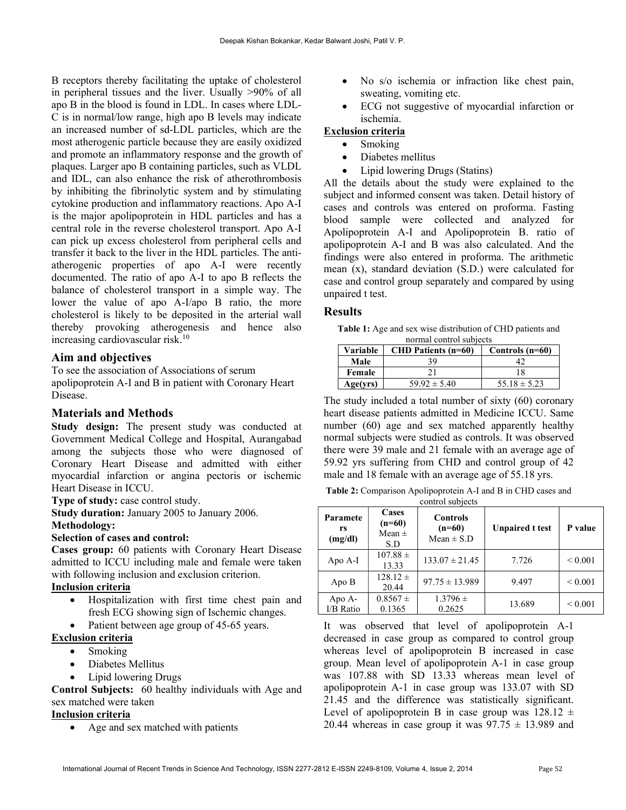B receptors thereby facilitating the uptake of cholesterol in peripheral tissues and the liver. Usually >90% of all apo B in the blood is found in LDL. In cases where LDL-C is in normal/low range, high apo B levels may indicate an increased number of sd-LDL particles, which are the most atherogenic particle because they are easily oxidized and promote an inflammatory response and the growth of plaques. Larger apo B containing particles, such as VLDL and IDL, can also enhance the risk of atherothrombosis by inhibiting the fibrinolytic system and by stimulating cytokine production and inflammatory reactions. Apo A-I is the major apolipoprotein in HDL particles and has a central role in the reverse cholesterol transport. Apo A-I can pick up excess cholesterol from peripheral cells and transfer it back to the liver in the HDL particles. The antiatherogenic properties of apo A-I were recently documented. The ratio of apo A-I to apo B reflects the balance of cholesterol transport in a simple way. The lower the value of apo A-I/apo B ratio, the more cholesterol is likely to be deposited in the arterial wall thereby provoking atherogenesis and hence also increasing cardiovascular risk.<sup>10</sup>

## Aim and objectives

To see the association of Associations of serum apolipoprotein A-I and B in patient with Coronary Heart Disease.

## Materials and Methods

Study design: The present study was conducted at Government Medical College and Hospital, Aurangabad among the subjects those who were diagnosed of Coronary Heart Disease and admitted with either myocardial infarction or angina pectoris or ischemic Heart Disease in ICCU.

Type of study: case control study.

Study duration: January 2005 to January 2006. Methodology:

#### Selection of cases and control:

Cases group: 60 patients with Coronary Heart Disease admitted to ICCU including male and female were taken with following inclusion and exclusion criterion.

# Inclusion criteria

- Hospitalization with first time chest pain and fresh ECG showing sign of Ischemic changes.
- Patient between age group of 45-65 years.

#### Exclusion criteria

- Smoking
- Diabetes Mellitus
- Lipid lowering Drugs

Control Subjects: 60 healthy individuals with Age and sex matched were taken

## Inclusion criteria

• Age and sex matched with patients

- No s/o ischemia or infraction like chest pain, sweating, vomiting etc.
- ECG not suggestive of myocardial infarction or ischemia.

## Exclusion criteria

- Smoking
	- Diabetes mellitus
- Lipid lowering Drugs (Statins)

All the details about the study were explained to the subject and informed consent was taken. Detail history of cases and controls was entered on proforma. Fasting blood sample were collected and analyzed for Apolipoprotein A-I and Apolipoprotein B. ratio of apolipoprotein A-I and B was also calculated. And the findings were also entered in proforma. The arithmetic mean (x), standard deviation (S.D.) were calculated for case and control group separately and compared by using unpaired t test.

## Results

Table 1: Age and sex wise distribution of CHD patients and normal control subjects

| Variable | <b>CHD Patients (n=60)</b> | Controls $(n=60)$ |  |
|----------|----------------------------|-------------------|--|
| Male     | 39.                        |                   |  |
| Female   |                            | 18                |  |
| Age(vrs) | $59.92 \pm 5.40$           | $55.18 \pm 5.23$  |  |

The study included a total number of sixty (60) coronary heart disease patients admitted in Medicine ICCU. Same number (60) age and sex matched apparently healthy normal subjects were studied as controls. It was observed there were 39 male and 21 female with an average age of 59.92 yrs suffering from CHD and control group of 42 male and 18 female with an average age of 55.18 yrs.

Table 2: Comparison Apolipoprotein A-I and B in CHD cases and control subjects

| Paramete<br>rs<br>(mg/dl) | Cases<br>$(n=60)$<br>Mean $\pm$<br>S.D | <b>Controls</b><br>$(n=60)$<br>Mean $\pm$ S.D | <b>Unpaired t test</b> | P value      |
|---------------------------|----------------------------------------|-----------------------------------------------|------------------------|--------------|
| Apo A-I                   | $107.88 \pm$<br>13.33                  | $133.07 \pm 21.45$                            | 7.726                  | ${}_{0.001}$ |
| Apo B                     | $128.12 \pm$<br>20.44                  | $97.75 \pm 13.989$                            | 9.497                  | ${}_{0.001}$ |
| Apo A-<br>I/B Ratio       | $0.8567 \pm$<br>0.1365                 | $1.3796 \pm$<br>0.2625                        | 13.689                 | ${}< 0.001$  |

It was observed that level of apolipoprotein A-1 decreased in case group as compared to control group whereas level of apolipoprotein B increased in case group. Mean level of apolipoprotein A-1 in case group was 107.88 with SD 13.33 whereas mean level of apolipoprotein A-1 in case group was 133.07 with SD 21.45 and the difference was statistically significant. Level of apolipoprotein B in case group was  $128.12 \pm$ 20.44 whereas in case group it was  $97.75 \pm 13.989$  and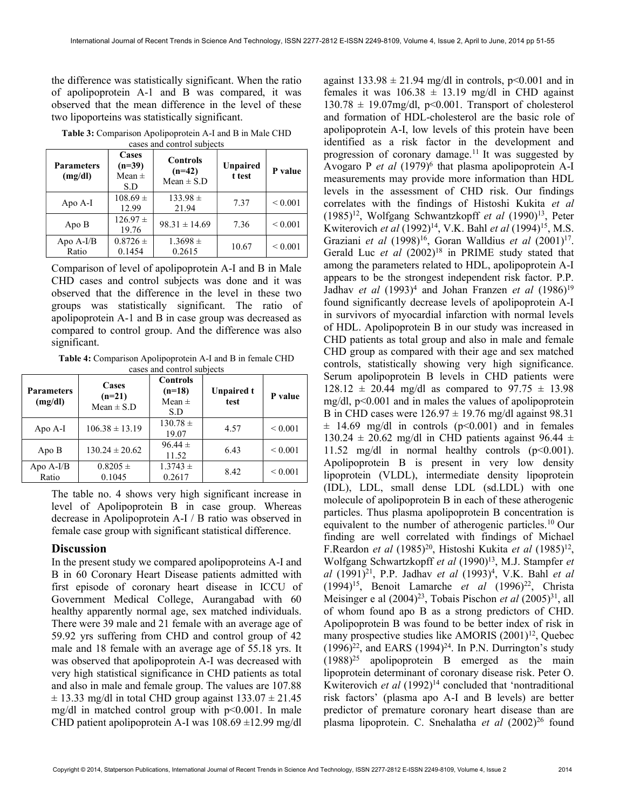the difference was statistically significant. When the ratio of apolipoprotein A-1 and B was compared, it was observed that the mean difference in the level of these two lipoporteins was statistically significant.

Table 3: Comparison Apolipoprotein A-I and B in Male CHD cases and control subjects

| <b>Parameters</b><br>(mg/dl) | Cases<br>$(n=39)$<br>Mean $\pm$<br>S.D | <b>Controls</b><br>$(n=42)$<br>$Mean \pm S.D$ | Unpaired<br>t test | P value           |
|------------------------------|----------------------------------------|-----------------------------------------------|--------------------|-------------------|
| Apo A-I                      | $108.69 \pm$<br>12.99                  | $133.98 \pm$<br>21.94                         | 7.37               | ${}_{0.001}$      |
| Apo B                        | $126.97 \pm$<br>19.76                  | $98.31 \pm 14.69$                             | 7.36               | ${}_{\leq 0.001}$ |
| Apo A-I/B<br>Ratio           | $0.8726 \pm$<br>0.1454                 | $1.3698 \pm$<br>0.2615                        | 10.67              | ${}< 0.001$       |

Comparison of level of apolipoprotein A-I and B in Male CHD cases and control subjects was done and it was observed that the difference in the level in these two groups was statistically significant. The ratio of apolipoprotein A-1 and B in case group was decreased as compared to control group. And the difference was also significant.

Table 4: Comparison Apolipoprotein A-I and B in female CHD cases and control subjects

| <b>Parameters</b><br>(mg/dl) | Cases<br>$(n=21)$<br>$Mean \pm S.D$ | <b>Controls</b><br>$(n=18)$<br>Mean $\pm$<br>S.D | <b>Unpaired t</b><br>test | P value      |
|------------------------------|-------------------------------------|--------------------------------------------------|---------------------------|--------------|
| Apo A-I                      | $106.38 \pm 13.19$                  | $130.78 \pm$<br>19.07                            | 4.57                      | ${}_{0.001}$ |
| Apo B                        | $130.24 \pm 20.62$                  | $96.44 \pm$<br>11.52                             | 6.43                      | ${}_{0.001}$ |
| Apo $A-I/B$<br>Ratio         | $0.8205 \pm$<br>0.1045              | $1.3743 \pm$<br>0.2617                           | 8.42                      | ${}_{0.001}$ |

The table no. 4 shows very high significant increase in level of Apolipoprotein B in case group. Whereas decrease in Apolipoprotein A-I / B ratio was observed in female case group with significant statistical difference.

#### **Discussion**

In the present study we compared apolipoproteins A-I and B in 60 Coronary Heart Disease patients admitted with first episode of coronary heart disease in ICCU of Government Medical College, Aurangabad with 60 healthy apparently normal age, sex matched individuals. There were 39 male and 21 female with an average age of 59.92 yrs suffering from CHD and control group of 42 male and 18 female with an average age of 55.18 yrs. It was observed that apolipoprotein A-I was decreased with very high statistical significance in CHD patients as total and also in male and female group. The values are 107.88  $\pm$  13.33 mg/dl in total CHD group against 133.07  $\pm$  21.45 mg/dl in matched control group with  $p<0.001$ . In male CHD patient apolipoprotein A-I was  $108.69 \pm 12.99$  mg/dl

against  $133.98 \pm 21.94$  mg/dl in controls, p<0.001 and in females it was  $106.38 \pm 13.19$  mg/dl in CHD against  $130.78 \pm 19.07$ mg/dl, p<0.001. Transport of cholesterol and formation of HDL-cholesterol are the basic role of apolipoprotein A-I, low levels of this protein have been identified as a risk factor in the development and progression of coronary damage.<sup>11</sup> It was suggested by Avogaro P et al  $(1979)^6$  that plasma apolipoprotein A-I measurements may provide more information than HDL levels in the assessment of CHD risk. Our findings correlates with the findings of Histoshi Kukita et al  $(1985)^{12}$ , Wolfgang Schwantzkopff *et al*  $(1990)^{13}$ , Peter Kwiterovich et al  $(1992)^{14}$ , V.K. Bahl et al  $(1994)^{15}$ , M.S. Graziani et al  $(1998)^{16}$ , Goran Walldius et al  $(2001)^{17}$ . Gerald Luc et al  $(2002)^{18}$  in PRIME study stated that among the parameters related to HDL, apolipoprotein A-I appears to be the strongest independent risk factor. P.P. Jadhav et al  $(1993)^4$  and Johan Franzen et al  $(1986)^{19}$ found significantly decrease levels of apolipoprotein A-I in survivors of myocardial infarction with normal levels of HDL. Apolipoprotein B in our study was increased in CHD patients as total group and also in male and female CHD group as compared with their age and sex matched controls, statistically showing very high significance. Serum apolipoprotein B levels in CHD patients were  $128.12 \pm 20.44$  mg/dl as compared to 97.75  $\pm$  13.98 mg/dl, p<0.001 and in males the values of apolipoprotein B in CHD cases were  $126.97 \pm 19.76$  mg/dl against 98.31  $\pm$  14.69 mg/dl in controls (p<0.001) and in females 130.24  $\pm$  20.62 mg/dl in CHD patients against 96.44  $\pm$ 11.52 mg/dl in normal healthy controls  $(p<0.001)$ . Apolipoprotein B is present in very low density lipoprotein (VLDL), intermediate density lipoprotein (IDL), LDL, small dense LDL (sd.LDL) with one molecule of apolipoprotein B in each of these atherogenic particles. Thus plasma apolipoprotein B concentration is equivalent to the number of atherogenic particles.<sup>10</sup> Our finding are well correlated with findings of Michael F.Reardon et al  $(1985)^{20}$ , Histoshi Kukita et al  $(1985)^{12}$ , Wolfgang Schwartzkopff et al (1990)<sup>13</sup>, M.J. Stampfer et al (1991)<sup>21</sup>, P.P. Jadhav et al (1993)<sup>4</sup>, V.K. Bahl et al  $(1994)^{15}$ , Benoit Lamarche *et al*  $(1996)^{22}$ , Christa Meisinger e al  $(2004)^{23}$ , Tobais Pischon *et al*  $(2005)^{31}$ , all of whom found apo B as a strong predictors of CHD. Apolipoprotein B was found to be better index of risk in many prospective studies like AMORIS  $(2001)^{12}$ , Quebec  $(1996)^{22}$ , and EARS  $(1994)^{24}$ . In P.N. Durrington's study  $(1988)^{25}$  apolipoprotein B emerged as the main lipoprotein determinant of coronary disease risk. Peter O. Kwiterovich et al  $(1992)^{14}$  concluded that 'nontraditional risk factors' (plasma apo A-I and B levels) are better predictor of premature coronary heart disease than are plasma lipoprotein. C. Snehalatha et al  $(2002)^{26}$  found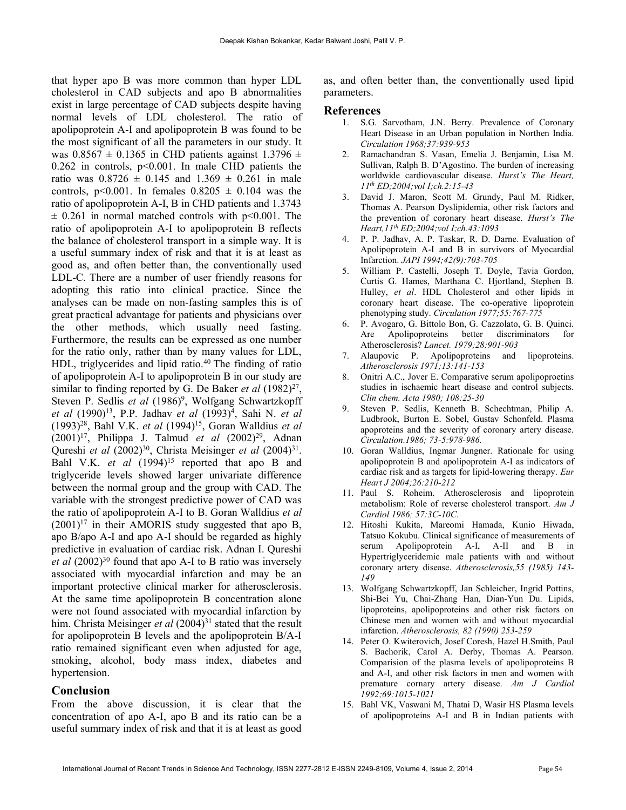that hyper apo B was more common than hyper LDL cholesterol in CAD subjects and apo B abnormalities exist in large percentage of CAD subjects despite having normal levels of LDL cholesterol. The ratio of apolipoprotein A-I and apolipoprotein B was found to be the most significant of all the parameters in our study. It was  $0.8567 \pm 0.1365$  in CHD patients against  $1.3796 \pm 0.1365$  $0.262$  in controls,  $p<0.001$ . In male CHD patients the ratio was  $0.8726 \pm 0.145$  and  $1.369 \pm 0.261$  in male controls,  $p<0.001$ . In females  $0.8205 \pm 0.104$  was the ratio of apolipoprotein A-I, B in CHD patients and 1.3743  $\pm$  0.261 in normal matched controls with p<0.001. The ratio of apolipoprotein A-I to apolipoprotein B reflects the balance of cholesterol transport in a simple way. It is a useful summary index of risk and that it is at least as good as, and often better than, the conventionally used LDL-C. There are a number of user friendly reasons for adopting this ratio into clinical practice. Since the analyses can be made on non-fasting samples this is of great practical advantage for patients and physicians over the other methods, which usually need fasting. Furthermore, the results can be expressed as one number for the ratio only, rather than by many values for LDL, HDL, triglycerides and lipid ratio. $40$  The finding of ratio of apolipoprotein A-I to apolipoprotein B in our study are similar to finding reported by G. De Baker et al  $(1982)^{27}$ , Steven P. Sedlis et al (1986)<sup>9</sup>, Wolfgang Schwartzkopff et al (1990)<sup>13</sup>, P.P. Jadhav et al (1993)<sup>4</sup>, Sahi N. et al  $(1993)^{28}$ , Bahl V.K. *et al*  $(1994)^{15}$ , Goran Walldius *et al*  $(2001)^{17}$ , Philippa J. Talmud *et al*  $(2002)^{29}$ , Adnan Qureshi et al (2002)<sup>30</sup>, Christa Meisinger et al (2004)<sup>31</sup>. Bahl V.K. *et al*  $(1994)^{15}$  reported that apo B and triglyceride levels showed larger univariate difference between the normal group and the group with CAD. The variable with the strongest predictive power of CAD was the ratio of apolipoprotein A-I to B. Goran Walldius et al  $(2001)^{17}$  in their AMORIS study suggested that apo B, apo B/apo A-I and apo A-I should be regarded as highly predictive in evaluation of cardiac risk. Adnan I. Qureshi et al  $(2002)^{30}$  found that apo A-I to B ratio was inversely associated with myocardial infarction and may be an important protective clinical marker for atherosclerosis. At the same time apolipoprotein B concentration alone were not found associated with myocardial infarction by him. Christa Meisinger *et al*  $(2004)^{31}$  stated that the result for apolipoprotein B levels and the apolipoprotein B/A-I ratio remained significant even when adjusted for age, smoking, alcohol, body mass index, diabetes and hypertension.

#### Conclusion

From the above discussion, it is clear that the concentration of apo A-I, apo B and its ratio can be a useful summary index of risk and that it is at least as good

as, and often better than, the conventionally used lipid parameters.

#### References

- 1. S.G. Sarvotham, J.N. Berry. Prevalence of Coronary Heart Disease in an Urban population in Northen India. Circulation 1968;37:939-953
- 2. Ramachandran S. Vasan, Emelia J. Benjamin, Lisa M. Sullivan, Ralph B. D'Agostino. The burden of increasing worldwide cardiovascular disease. Hurst's The Heart, 11th ED;2004;vol I;ch.2:15-43
- 3. David J. Maron, Scott M. Grundy, Paul M. Ridker, Thomas A. Pearson Dyslipidemia, other risk factors and the prevention of coronary heart disease. Hurst's The Heart, 11<sup>th</sup> ED; 2004; vol 1; ch. 43: 1093
- 4. P. P. Jadhav, A. P. Taskar, R. D. Darne. Evaluation of Apolipoprotein A-I and B in survivors of Myocardial Infarction. JAPI 1994;42(9):703-705
- 5. William P. Castelli, Joseph T. Doyle, Tavia Gordon, Curtis G. Hames, Marthana C. Hjortland, Stephen B. Hulley, et al. HDL Cholesterol and other lipids in coronary heart disease. The co-operative lipoprotein phenotyping study. Circulation 1977;55:767-775
- 6. P. Avogaro, G. Bittolo Bon, G. Cazzolato, G. B. Quinci. Are Apolipoproteins better discriminators for Atherosclerosis? Lancet. 1979;28:901-903
- 7. Alaupovic P. Apolipoproteins and lipoproteins. Atherosclerosis 1971;13:141-153
- 8. Onitri A.C., Jover E. Comparative serum apolipoproetins studies in ischaemic heart disease and control subjects. Clin chem. Acta 1980; 108:25-30
- 9. Steven P. Sedlis, Kenneth B. Schechtman, Philip A. Ludbrook, Burton E. Sobel, Gustav Schonfeld. Plasma apoproteins and the severity of coronary artery disease. Circulation.1986; 73-5:978-986.
- 10. Goran Walldius, Ingmar Jungner. Rationale for using apolipoprotein B and apolipoprotein A-I as indicators of cardiac risk and as targets for lipid-lowering therapy. Eur Heart J 2004;26:210-212
- 11. Paul S. Roheim. Atherosclerosis and lipoprotein metabolism: Role of reverse cholesterol transport. Am J Cardiol 1986; 57:3C-10C.
- 12. Hitoshi Kukita, Mareomi Hamada, Kunio Hiwada, Tatsuo Kokubu. Clinical significance of measurements of serum Apolipoprotein A-I, A-II and B in Hypertriglyceridemic male patients with and without coronary artery disease. Atherosclerosis,55 (1985) 143- 149
- 13. Wolfgang Schwartzkopff, Jan Schleicher, Ingrid Pottins, Shi-Bei Yu, Chai-Zhang Han, Dian-Yun Du. Lipids, lipoproteins, apolipoproteins and other risk factors on Chinese men and women with and without myocardial infarction. Atherosclerosis, 82 (1990) 253-259
- 14. Peter O. Kwiterovich, Josef Coresh, Hazel H.Smith, Paul S. Bachorik, Carol A. Derby, Thomas A. Pearson. Comparision of the plasma levels of apolipoproteins B and A-I, and other risk factors in men and women with premature cornary artery disease. Am J Cardiol 1992;69:1015-1021
- 15. Bahl VK, Vaswani M, Thatai D, Wasir HS Plasma levels of apolipoproteins A-I and B in Indian patients with